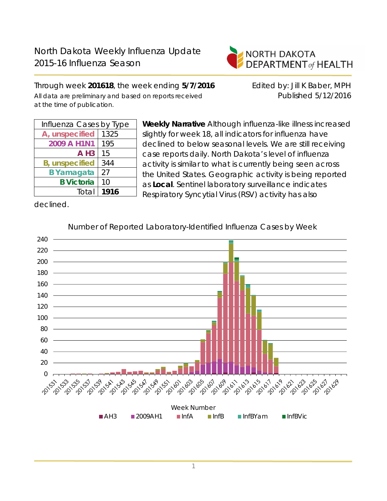

Through week **201618**, the week ending **5/7/2016** Edited by: Jill K Baber, MPH All data are preliminary and based on reports received **Published 5/12/2016** at the time of publication.

| Influenza Cases by Type |      |  |  |  |
|-------------------------|------|--|--|--|
| A, unspecified          | 1325 |  |  |  |
| 2009 A H1N1             | 195  |  |  |  |
| $A$ H <sub>3</sub>      | 15   |  |  |  |
| <b>B</b> , unspecified  | 344  |  |  |  |
| <b>B</b> Yamagata       | 27   |  |  |  |
| <b>B</b> Victoria       | 10   |  |  |  |
| Total                   | 1916 |  |  |  |

**Weekly Narrative** Although influenza-like illness increased slightly for week 18, all indicators for influenza have declined to below seasonal levels. We are still receiving case reports daily. North Dakota's level of influenza activity is similar to what is currently being seen across the United States. Geographic activity is being reported as **Local**. Sentinel laboratory surveillance indicates Respiratory Syncytial Virus (RSV) activity has also

declined.



Number of Reported Laboratory-Identified Influenza Cases by Week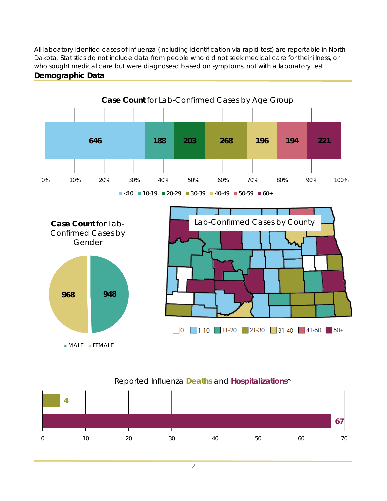All laboatory-idenfied cases of influenza (including identification via rapid test) are reportable in North Dakota. Statistics do not include data from people who did not seek medical care for their illness, or who sought medical care but were diagnosesd based on symptoms, not with a laboratory test. **Demographic Data**



#### Reported Influenza **Deaths** and **Hospitalizations**\*

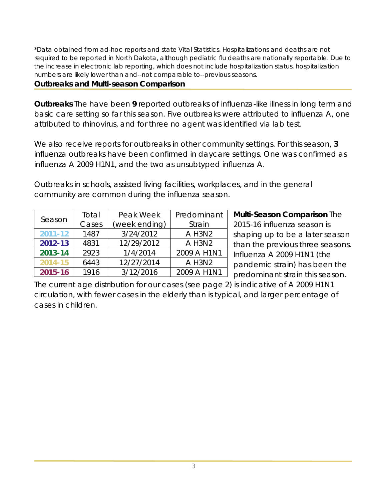\*Data obtained from ad-hoc reports and state Vital Statistics. Hospitalizations and deaths are not required to be reported in North Dakota, although pediatric flu deaths are nationally reportable. Due to the increase in electronic lab reporting, which does not include hospitalization status, hospitalization numbers are likely lower than and--not comparable to--previous seasons.

## **Outbreaks and Multi-season Comparison**

**Outbreaks** The have been **9** reported outbreaks of influenza-like illness in long term and basic care setting so far this season. Five outbreaks were attributed to influenza A, one attributed to rhinovirus, and for three no agent was identified via lab test.

We also receive reports for outbreaks in other community settings. For this season, **3** influenza outbreaks have been confirmed in daycare settings. One was confirmed as influenza A 2009 H1N1, and the two as unsubtyped influenza A.

Outbreaks in schools, assisted living facilities, workplaces, and in the general community are common during the influenza season.

| Season  | Total | Peak Week     | Predominant |  |
|---------|-------|---------------|-------------|--|
|         | Cases | (week ending) | Strain      |  |
| 2011-12 | 1487  | 3/24/2012     | A H3N2      |  |
| 2012-13 | 4831  | 12/29/2012    | A H3N2      |  |
| 2013-14 | 2923  | 1/4/2014      | 2009 A H1N1 |  |
| 2014-15 | 6443  | 12/27/2014    | A H3N2      |  |
| 2015-16 | 1916  | 3/12/2016     | 2009 A H1N1 |  |

**Multi-Season Comparison** The 2015-16 influenza season is shaping up to be a later season than the previous three seasons. Influenza A 2009 H1N1 (the pandemic strain) has been the predominant strain this season.

The current age distribution for our cases (see page 2) is indicative of A 2009 H1N1 circulation, with fewer cases in the elderly than is typical, and larger percentage of cases in children.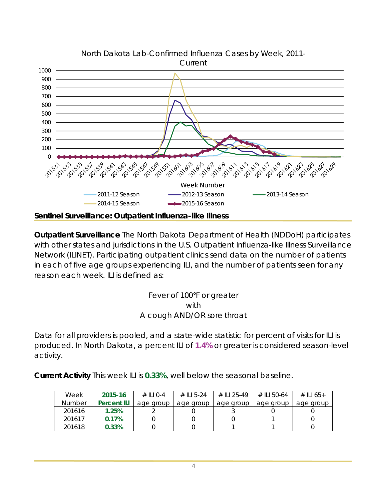

**Outpatient Surveillance** The North Dakota Department of Health (NDDoH) participates with other states and jurisdictions in the U.S. Outpatient Influenza-like Illness Surveillance Network (ILINET). Participating outpatient clinics send data on the number of patients in each of five age groups experiencing ILI, and the number of patients seen for any reason each week. ILI is defined as:

## Fever of 100°F or greater with A cough AND/OR sore throat

Data for all providers is pooled, and a state-wide statistic for percent of visits for ILI is produced. In North Dakota, a percent ILI of **1.4%** or greater is considered season-level activity.

**Current Activity** This week ILI is **0.33%**, well below the seasonal baseline.

| Week          | 2015-16            | $\#$ III 0-4 | # II 5-24 | # II I 25-49 | $\#$ II I 50-64 | # ILI 65+ |
|---------------|--------------------|--------------|-----------|--------------|-----------------|-----------|
| <b>Number</b> | <b>Percent ILI</b> | age group    | age group | age group    | age group       | age group |
| 201616        | 1.25%              |              |           |              |                 |           |
| 201617        | 0.17%              |              |           |              |                 |           |
| 201618        | 0.33%              |              |           |              |                 |           |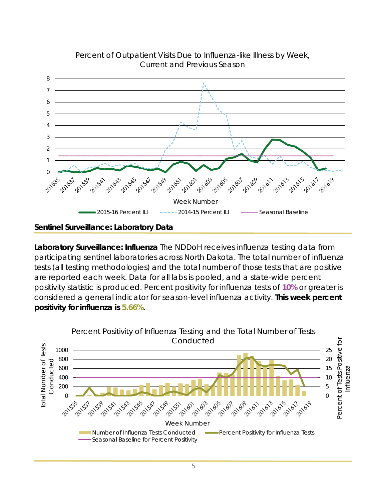

### Percent of Outpatient Visits Due to Influenza-like Illness by Week, Current and Previous Season

## **Sentinel Surveillance: Laboratory Data**

**Laboratory Surveillance: Influenza** The NDDoH receives influenza testing data from participating sentinel laboratories across North Dakota. The total number of influenza tests (all testing methodologies) and the total number of those tests that are positive are reported each week. Data for all labs is pooled, and a state-wide percent positivity statistic is produced. Percent positivity for influenza tests of **10%** or greater is considered a general indicator for season-level influenza activity. **This week percent positivity for influenza is 5.66%**.

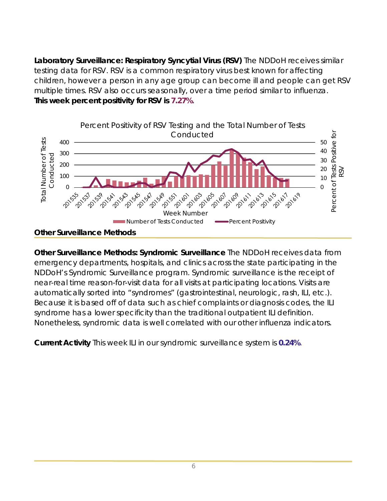**Laboratory Surveillance: Respiratory Syncytial Virus (RSV)** The NDDoH receives similar testing data for RSV. RSV is a common respiratory virus best known for affecting children, however a person in any age group can become ill and people can get RSV multiple times. RSV also occurs seasonally, over a time period similar to influenza. **This week percent positivity for RSV is 7.27%**.



**Other Surveillance Methods: Syndromic Surveillance** The NDDoH receives data from emergency departments, hospitals, and clinics across the state participating in the NDDoH's Syndromic Surveillance program. Syndromic surveillance is the receipt of near-real time reason-for-visit data for all visits at participating locations. Visits are automatically sorted into "syndromes" (gastrointestinal, neurologic, rash, ILI, etc.). Because it is based off of data such as chief complaints or diagnosis codes, the ILI syndrome has a lower specificity than the traditional outpatient ILI definition. Nonetheless, syndromic data is well correlated with our other influenza indicators.

**Current Activity** This week ILI in our syndromic surveillance system is **0.24%**.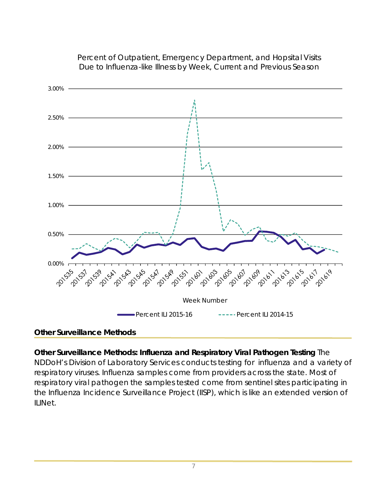

## Percent of Outpatient, Emergency Department, and Hopsital Visits Due to Influenza-like Illness by Week, Current and Previous Season

# **Other Surveillance Methods**

**Other Surveillance Methods: Influenza and Respiratory Viral Pathogen Testing** The NDDoH's Division of Laboratory Services conducts testing for influenza and a variety of respiratory viruses. Influenza samples come from providers across the state. Most of respiratory viral pathogen the samples tested come from sentinel sites participating in the Influenza Incidence Surveillance Project (IISP), which is like an extended version of ILINet.